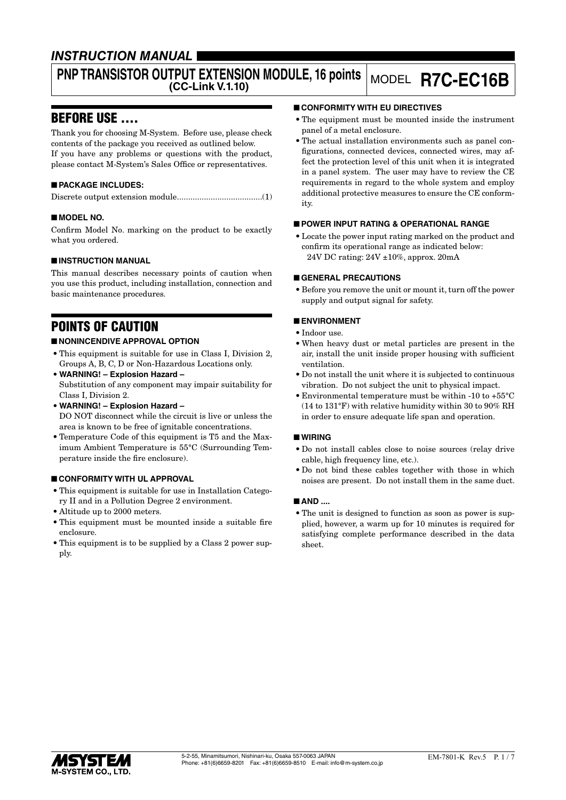## *INSTRUCTION MANUAL*

# **PNP TRANSISTOR OUTPUT EXTENSION MODULE, 16 points**

## **(CC-Link V.1.10)** MODEL **R7C-EC16B**

## BEFORE USE ....

Thank you for choosing M-System. Before use, please check contents of the package you received as outlined below. If you have any problems or questions with the product, please contact M-System's Sales Office or representatives.

## ■ **PACKAGE INCLUDES:**

Discrete output extension module......................................(1)

## ■ **MODEL NO.**

Confirm Model No. marking on the product to be exactly what you ordered.

## ■ **INSTRUCTION MANUAL**

This manual describes necessary points of caution when you use this product, including installation, connection and basic maintenance procedures.

## POINTS OF CAUTION

## ■ **NONINCENDIVE APPROVAL OPTION**

- This equipment is suitable for use in Class I, Division 2, Groups A, B, C, D or Non-Hazardous Locations only.
- **WARNING! Explosion Hazard –** Substitution of any component may impair suitability for Class I, Division 2.
- **WARNING! Explosion Hazard –** DO NOT disconnect while the circuit is live or unless the area is known to be free of ignitable concentrations.
- Temperature Code of this equipment is T5 and the Maximum Ambient Temperature is 55°C (Surrounding Temperature inside the fire enclosure).

## ■ **CONFORMITY WITH UL APPROVAL**

- This equipment is suitable for use in Installation Category II and in a Pollution Degree 2 environment.
- Altitude up to 2000 meters.
- This equipment must be mounted inside a suitable fire enclosure.
- This equipment is to be supplied by a Class 2 power supply.

#### ■ **CONFORMITY WITH EU DIRECTIVES**

- The equipment must be mounted inside the instrument panel of a metal enclosure.
- The actual installation environments such as panel configurations, connected devices, connected wires, may affect the protection level of this unit when it is integrated in a panel system. The user may have to review the CE requirements in regard to the whole system and employ additional protective measures to ensure the CE conformity.

#### ■ **POWER INPUT RATING & OPERATIONAL RANGE**

• Locate the power input rating marked on the product and confirm its operational range as indicated below: 24V DC rating: 24V ±10%, approx. 20mA

#### ■ **GENERAL PRECAUTIONS**

• Before you remove the unit or mount it, turn off the power supply and output signal for safety.

## ■ **ENVIRONMENT**

- Indoor use.
- When heavy dust or metal particles are present in the air, install the unit inside proper housing with sufficient ventilation.
- Do not install the unit where it is subjected to continuous vibration. Do not subject the unit to physical impact.
- Environmental temperature must be within -10 to +55°C (14 to 131°F) with relative humidity within 30 to 90% RH in order to ensure adequate life span and operation.

#### ■ **WIRING**

- Do not install cables close to noise sources (relay drive cable, high frequency line, etc.).
- Do not bind these cables together with those in which noises are present. Do not install them in the same duct.

#### ■ **AND ....**

• The unit is designed to function as soon as power is supplied, however, a warm up for 10 minutes is required for satisfying complete performance described in the data sheet.

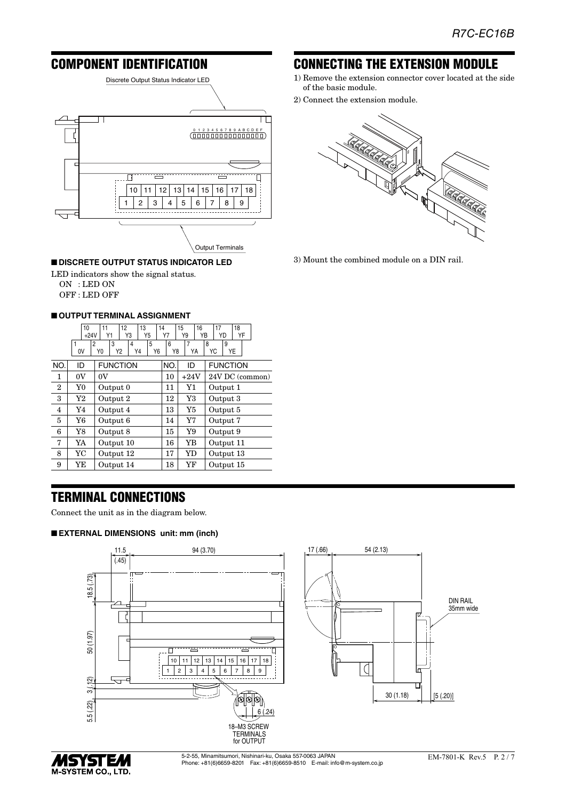## COMPONENT IDENTIFICATION



#### ■ **DISCRETE OUTPUT STATUS INDICATOR LED**

LED indicators show the signal status.

ON : LED ON OFF : LED OFF

#### ■ **OUTPUT TERMINAL ASSIGNMENT**

|              | 10<br>$+24V$   | 12<br>11<br>Y3<br>Y1                                   | 13<br>Y5 | 14<br>Υ7 | 15<br>16<br>YB<br>Y9 | 17<br>18<br>YD<br>YF |
|--------------|----------------|--------------------------------------------------------|----------|----------|----------------------|----------------------|
|              | 0V             | 3<br>$\overline{2}$<br>4<br>Y0<br>Y <sub>2</sub><br>Y4 | 5<br>Y6  | 6<br>Y8  | $\overline{7}$<br>YA | 8<br>9<br>YE<br>YC   |
| NO.          | ID             | <b>FUNCTION</b>                                        |          | NO.      | ID                   | <b>FUNCTION</b>      |
| 1            | 0V             | 0V                                                     |          | 10       | $+24V$               | 24V DC (common)      |
| $\mathbf{2}$ | Y <sub>0</sub> | Output 0                                               |          | 11       | Y1                   | Output 1             |
| 3            | Y2             | Output 2                                               |          | 12       | Y3                   | Output 3             |
| 4            | Y4             | Output 4                                               |          | 13       | Y5                   | Output 5             |
| 5            | Y6             | Output 6                                               |          | 14       | Y7                   | Output 7             |
| 6            | Y8             | Output 8                                               |          | 15       | Y9                   | Output 9             |
| 7            | YA             | Output 10                                              |          | 16       | YB                   | Output 11            |
| 8            | YC             | Output 12                                              |          | 17       | <b>YD</b>            | Output 13            |
| 9            | YΕ             | Output 14                                              |          | 18       | YF                   | Output 15            |

## TERMINAL CONNECTIONS

Connect the unit as in the diagram below.

#### ■ **EXTERNAL DIMENSIONS unit: mm (inch)**





#### EM-7801-K Rev.5 P. 2 / 7

## CONNECTING THE EXTENSION MODULE

- 1) Remove the extension connector cover located at the side of the basic module.
- 2) Connect the extension module.



3) Mount the combined module on a DIN rail.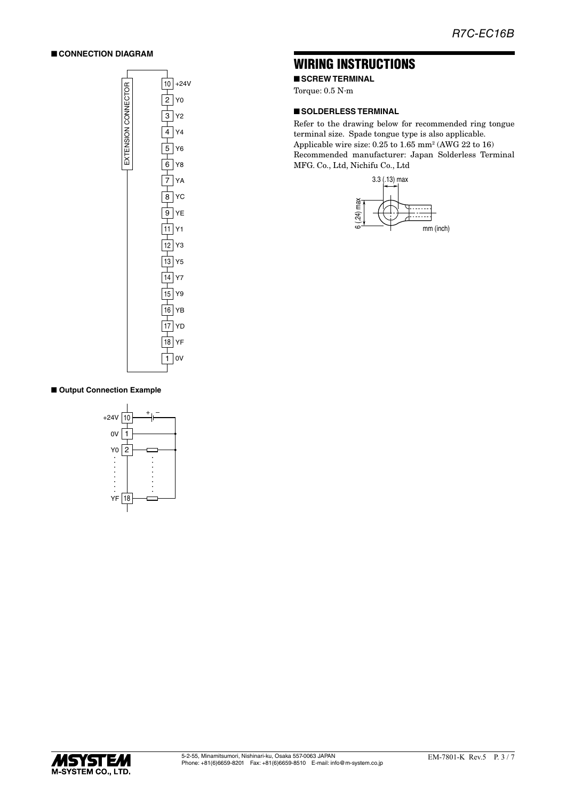#### ■ **CONNECTION DIAGRAM**



## WIRING INSTRUCTIONS

■ **SCREW TERMINAL** 

Torque: 0.5 N·m

#### ■ **SOLDERLESS TERMINAL**

Refer to the drawing below for recommended ring tongue terminal size. Spade tongue type is also applicable. Applicable wire size:  $0.25$  to  $1.65$  mm<sup>2</sup> (AWG 22 to 16) Recommended manufacturer: Japan Solderless Terminal MFG. Co., Ltd, Nichifu Co., Ltd



#### ■ Output Connection Example



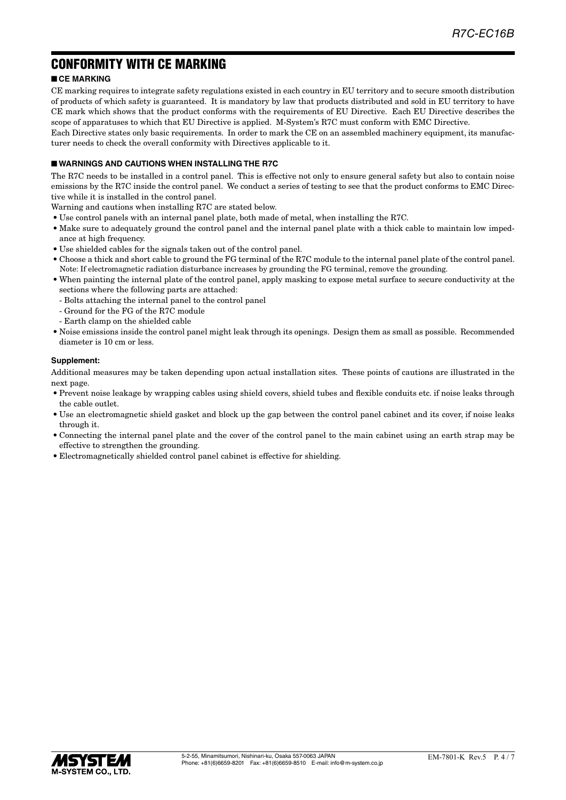## CONFORMITY WITH CE MARKING

#### ■ **CE MARKING**

CE marking requires to integrate safety regulations existed in each country in EU territory and to secure smooth distribution of products of which safety is guaranteed. It is mandatory by law that products distributed and sold in EU territory to have CE mark which shows that the product conforms with the requirements of EU Directive. Each EU Directive describes the scope of apparatuses to which that EU Directive is applied. M-System's R7C must conform with EMC Directive.

Each Directive states only basic requirements. In order to mark the CE on an assembled machinery equipment, its manufacturer needs to check the overall conformity with Directives applicable to it.

#### ■ **WARNINGS AND CAUTIONS WHEN INSTALLING THE R7C**

The R7C needs to be installed in a control panel. This is effective not only to ensure general safety but also to contain noise emissions by the R7C inside the control panel. We conduct a series of testing to see that the product conforms to EMC Directive while it is installed in the control panel.

Warning and cautions when installing R7C are stated below.

- Use control panels with an internal panel plate, both made of metal, when installing the R7C.
- Make sure to adequately ground the control panel and the internal panel plate with a thick cable to maintain low impedance at high frequency.
- Use shielded cables for the signals taken out of the control panel.
- Choose a thick and short cable to ground the FG terminal of the R7C module to the internal panel plate of the control panel. Note: If electromagnetic radiation disturbance increases by grounding the FG terminal, remove the grounding.
- When painting the internal plate of the control panel, apply masking to expose metal surface to secure conductivity at the sections where the following parts are attached:
	- Bolts attaching the internal panel to the control panel
	- Ground for the FG of the R7C module
	- Earth clamp on the shielded cable
- Noise emissions inside the control panel might leak through its openings. Design them as small as possible. Recommended diameter is 10 cm or less.

#### **Supplement:**

Additional measures may be taken depending upon actual installation sites. These points of cautions are illustrated in the next page.

- Prevent noise leakage by wrapping cables using shield covers, shield tubes and flexible conduits etc. if noise leaks through the cable outlet.
- Use an electromagnetic shield gasket and block up the gap between the control panel cabinet and its cover, if noise leaks through it.
- Connecting the internal panel plate and the cover of the control panel to the main cabinet using an earth strap may be effective to strengthen the grounding.
- Electromagnetically shielded control panel cabinet is effective for shielding.

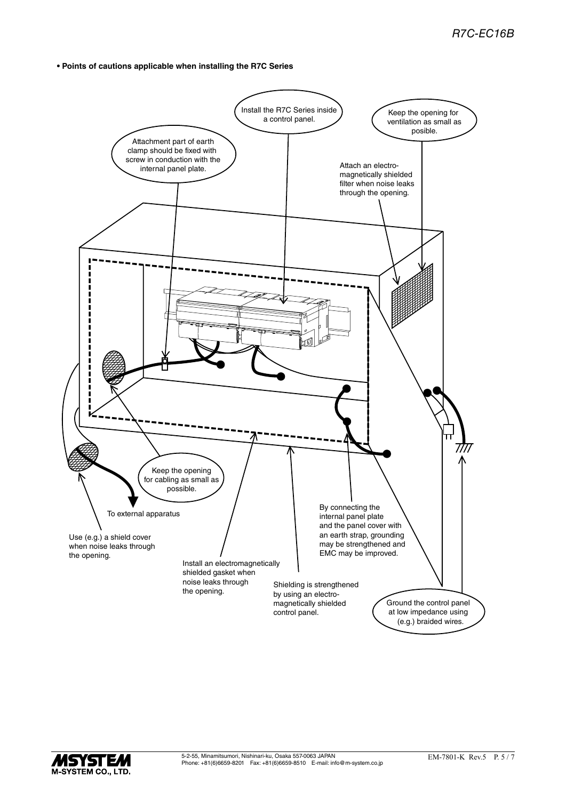**• Points of cautions applicable when installing the R7C Series**



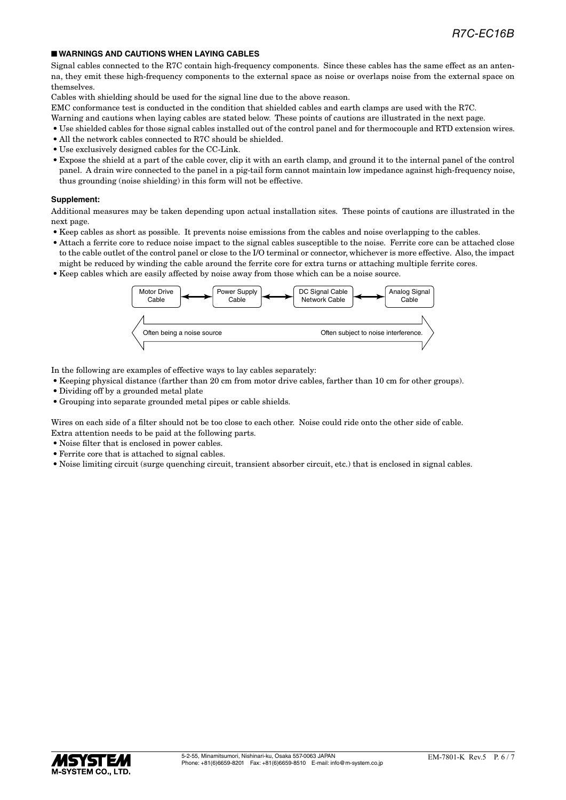#### ■ **WARNINGS AND CAUTIONS WHEN LAYING CABLES**

Signal cables connected to the R7C contain high-frequency components. Since these cables has the same effect as an antenna, they emit these high-frequency components to the external space as noise or overlaps noise from the external space on themselves.

Cables with shielding should be used for the signal line due to the above reason.

EMC conformance test is conducted in the condition that shielded cables and earth clamps are used with the R7C.

- Warning and cautions when laying cables are stated below. These points of cautions are illustrated in the next page.
- Use shielded cables for those signal cables installed out of the control panel and for thermocouple and RTD extension wires.
- All the network cables connected to R7C should be shielded.
- Use exclusively designed cables for the CC-Link.
- Expose the shield at a part of the cable cover, clip it with an earth clamp, and ground it to the internal panel of the control panel. A drain wire connected to the panel in a pig-tail form cannot maintain low impedance against high-frequency noise, thus grounding (noise shielding) in this form will not be effective.

#### **Supplement:**

Additional measures may be taken depending upon actual installation sites. These points of cautions are illustrated in the next page.

- Keep cables as short as possible. It prevents noise emissions from the cables and noise overlapping to the cables.
- Attach a ferrite core to reduce noise impact to the signal cables susceptible to the noise. Ferrite core can be attached close to the cable outlet of the control panel or close to the I/O terminal or connector, whichever is more effective. Also, the impact might be reduced by winding the cable around the ferrite core for extra turns or attaching multiple ferrite cores.
- Keep cables which are easily affected by noise away from those which can be a noise source.



In the following are examples of effective ways to lay cables separately:

- Keeping physical distance (farther than 20 cm from motor drive cables, farther than 10 cm for other groups).
- Dividing off by a grounded metal plate
- Grouping into separate grounded metal pipes or cable shields.

Wires on each side of a filter should not be too close to each other. Noise could ride onto the other side of cable. Extra attention needs to be paid at the following parts.

- Noise filter that is enclosed in power cables.
- Ferrite core that is attached to signal cables.
- Noise limiting circuit (surge quenching circuit, transient absorber circuit, etc.) that is enclosed in signal cables.